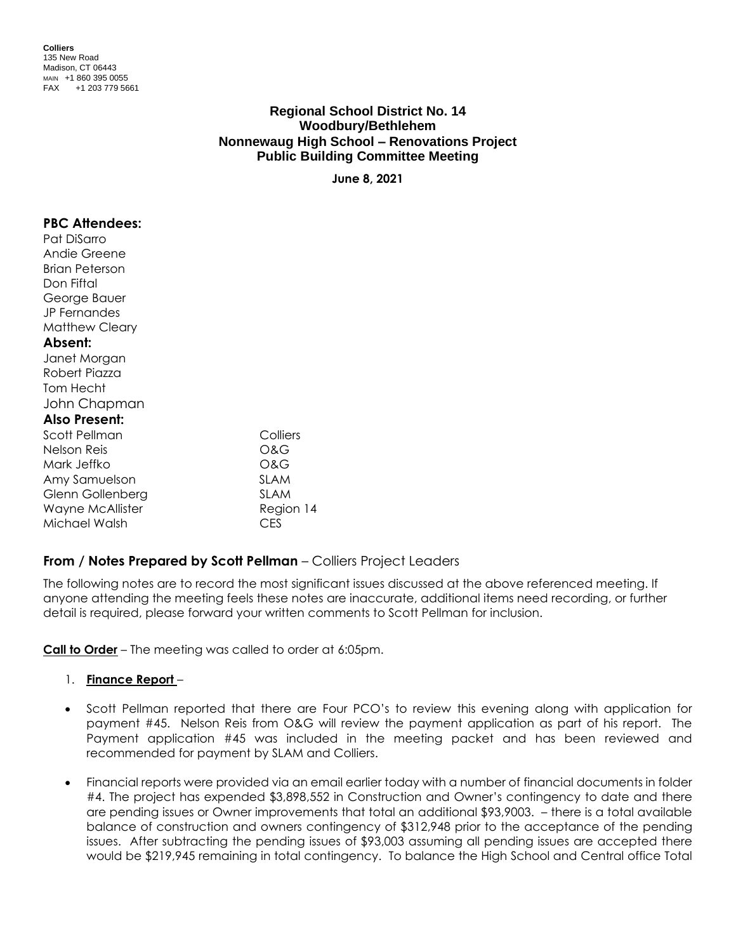| <b>Colliers</b>   |                      |  |  |
|-------------------|----------------------|--|--|
| 135 New Road      |                      |  |  |
| Madison, CT 06443 |                      |  |  |
|                   | MAIN +1 860 395 0055 |  |  |
| <b>FAX</b>        | +1 203 779 5661      |  |  |

# **Regional School District No. 14 Woodbury/Bethlehem Nonnewaug High School – Renovations Project Public Building Committee Meeting**

**June 8, 2021**

| <b>PBC Attendees:</b><br>Pat DiSarro |             |  |
|--------------------------------------|-------------|--|
| Andie Greene                         |             |  |
| Brian Peterson                       |             |  |
| Don Fiftal                           |             |  |
| George Bauer                         |             |  |
| <b>JP</b> Fernandes                  |             |  |
| <b>Matthew Cleary</b>                |             |  |
| Absent:                              |             |  |
| Janet Morgan                         |             |  |
| Robert Piazza                        |             |  |
| Tom Hecht                            |             |  |
| John Chapman                         |             |  |
| <b>Also Present:</b>                 |             |  |
| Scott Pellman                        | Colliers    |  |
| Nelson Reis                          | O&G         |  |
| Mark Jeffko                          | O&G         |  |
| Amy Samuelson                        | <b>SLAM</b> |  |
| Glenn Gollenberg                     | SLAM        |  |
| Wayne McAllister                     | Region 14   |  |
| Michael Walsh                        | CES         |  |

# **From / Notes Prepared by Scott Pellman** – Colliers Project Leaders

The following notes are to record the most significant issues discussed at the above referenced meeting. If anyone attending the meeting feels these notes are inaccurate, additional items need recording, or further detail is required, please forward your written comments to Scott Pellman for inclusion.

**Call to Order** – The meeting was called to order at 6:05pm.

- 1. **Finance Report** –
- Scott Pellman reported that there are Four PCO's to review this evening along with application for payment #45. Nelson Reis from O&G will review the payment application as part of his report. The Payment application #45 was included in the meeting packet and has been reviewed and recommended for payment by SLAM and Colliers.
- Financial reports were provided via an email earlier today with a number of financial documents in folder #4. The project has expended \$3,898,552 in Construction and Owner's contingency to date and there are pending issues or Owner improvements that total an additional \$93,9003. – there is a total available balance of construction and owners contingency of \$312,948 prior to the acceptance of the pending issues. After subtracting the pending issues of \$93,003 assuming all pending issues are accepted there would be \$219,945 remaining in total contingency. To balance the High School and Central office Total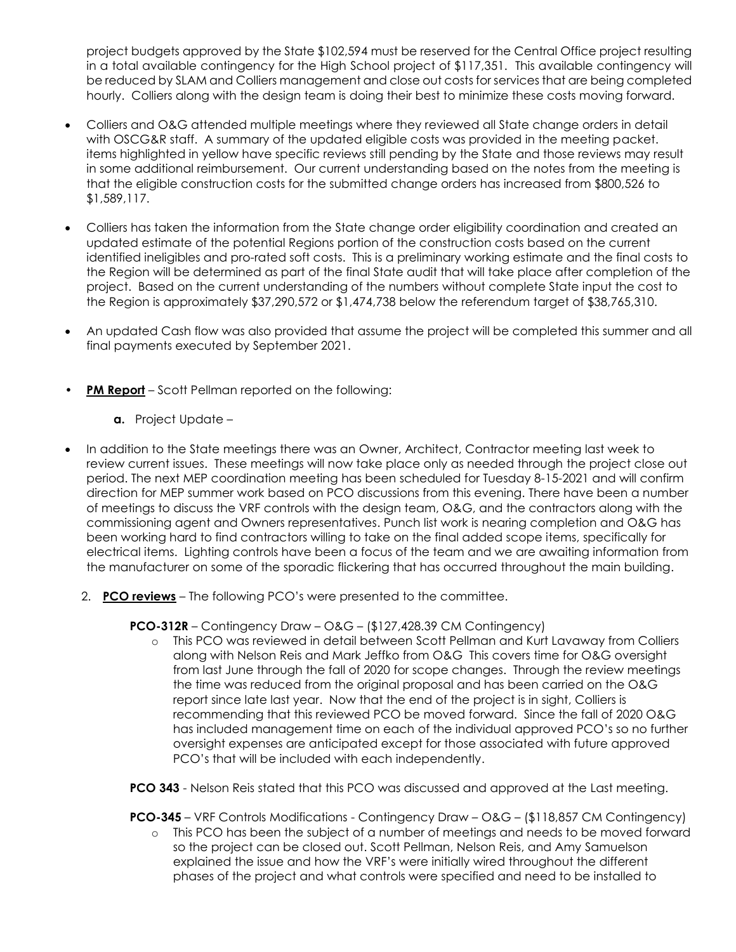project budgets approved by the State \$102,594 must be reserved for the Central Office project resulting in a total available contingency for the High School project of \$117,351. This available contingency will be reduced by SLAM and Colliers management and close out costs for services that are being completed hourly. Colliers along with the design team is doing their best to minimize these costs moving forward.

- Colliers and O&G attended multiple meetings where they reviewed all State change orders in detail with OSCG&R staff. A summary of the updated eligible costs was provided in the meeting packet. items highlighted in yellow have specific reviews still pending by the State and those reviews may result in some additional reimbursement. Our current understanding based on the notes from the meeting is that the eligible construction costs for the submitted change orders has increased from \$800,526 to \$1,589,117.
- Colliers has taken the information from the State change order eligibility coordination and created an updated estimate of the potential Regions portion of the construction costs based on the current identified ineligibles and pro-rated soft costs. This is a preliminary working estimate and the final costs to the Region will be determined as part of the final State audit that will take place after completion of the project. Based on the current understanding of the numbers without complete State input the cost to the Region is approximately \$37,290,572 or \$1,474,738 below the referendum target of \$38,765,310.
- An updated Cash flow was also provided that assume the project will be completed this summer and all final payments executed by September 2021.
- **PM Report** Scott Pellman reported on the following:
	- **a.** Project Update –
- In addition to the State meetings there was an Owner, Architect, Contractor meeting last week to review current issues. These meetings will now take place only as needed through the project close out period. The next MEP coordination meeting has been scheduled for Tuesday 8-15-2021 and will confirm direction for MEP summer work based on PCO discussions from this evening. There have been a number of meetings to discuss the VRF controls with the design team, O&G, and the contractors along with the commissioning agent and Owners representatives. Punch list work is nearing completion and O&G has been working hard to find contractors willing to take on the final added scope items, specifically for electrical items. Lighting controls have been a focus of the team and we are awaiting information from the manufacturer on some of the sporadic flickering that has occurred throughout the main building.
	- 2. **PCO reviews** The following PCO's were presented to the committee.

**PCO-312R** – Contingency Draw – O&G – (\$127,428.39 CM Contingency)

o This PCO was reviewed in detail between Scott Pellman and Kurt Lavaway from Colliers along with Nelson Reis and Mark Jeffko from O&G This covers time for O&G oversight from last June through the fall of 2020 for scope changes. Through the review meetings the time was reduced from the original proposal and has been carried on the O&G report since late last year. Now that the end of the project is in sight, Colliers is recommending that this reviewed PCO be moved forward. Since the fall of 2020 O&G has included management time on each of the individual approved PCO's so no further oversight expenses are anticipated except for those associated with future approved PCO's that will be included with each independently.

**PCO 343** - Nelson Reis stated that this PCO was discussed and approved at the Last meeting.

**PCO-345** – VRF Controls Modifications - Contingency Draw – O&G – (\$118,857 CM Contingency)

o This PCO has been the subject of a number of meetings and needs to be moved forward so the project can be closed out. Scott Pellman, Nelson Reis, and Amy Samuelson explained the issue and how the VRF's were initially wired throughout the different phases of the project and what controls were specified and need to be installed to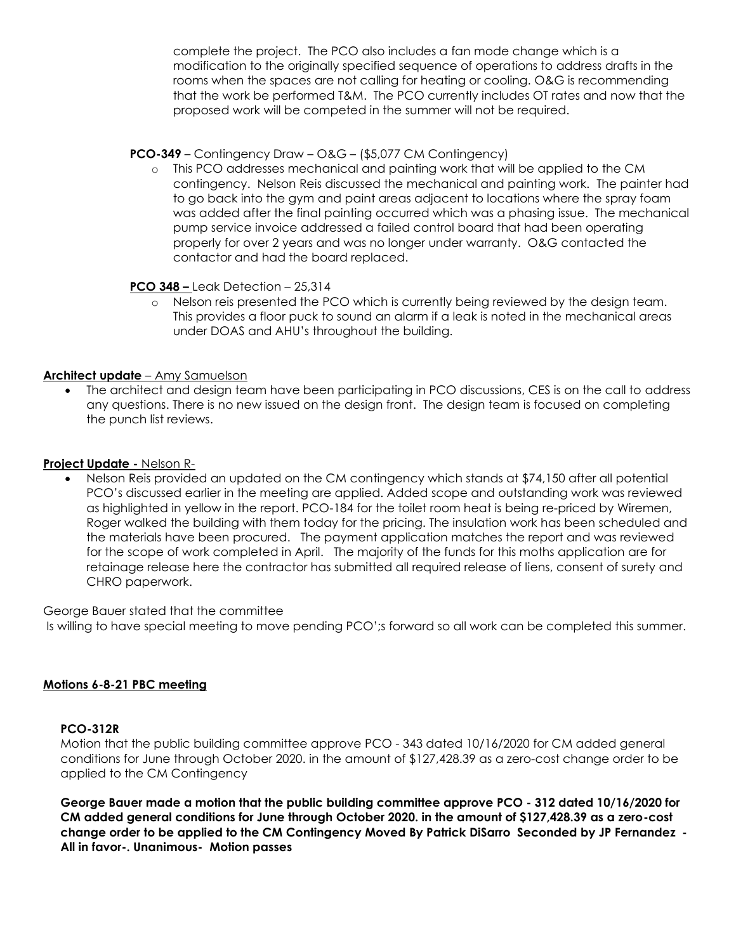complete the project. The PCO also includes a fan mode change which is a modification to the originally specified sequence of operations to address drafts in the rooms when the spaces are not calling for heating or cooling. O&G is recommending that the work be performed T&M. The PCO currently includes OT rates and now that the proposed work will be competed in the summer will not be required.

## **PCO-349** – Contingency Draw – O&G – (\$5,077 CM Contingency)

o This PCO addresses mechanical and painting work that will be applied to the CM contingency. Nelson Reis discussed the mechanical and painting work. The painter had to go back into the gym and paint areas adjacent to locations where the spray foam was added after the final painting occurred which was a phasing issue. The mechanical pump service invoice addressed a failed control board that had been operating properly for over 2 years and was no longer under warranty. O&G contacted the contactor and had the board replaced.

# **PCO 348 –** Leak Detection – 25,314

Nelson reis presented the PCO which is currently being reviewed by the design team. This provides a floor puck to sound an alarm if a leak is noted in the mechanical areas under DOAS and AHU's throughout the building.

# **Architect update** – Amy Samuelson

• The architect and design team have been participating in PCO discussions, CES is on the call to address any questions. There is no new issued on the design front. The design team is focused on completing the punch list reviews.

#### **Project Update -** Nelson R-

• Nelson Reis provided an updated on the CM contingency which stands at \$74,150 after all potential PCO's discussed earlier in the meeting are applied. Added scope and outstanding work was reviewed as highlighted in yellow in the report. PCO-184 for the toilet room heat is being re-priced by Wiremen, Roger walked the building with them today for the pricing. The insulation work has been scheduled and the materials have been procured. The payment application matches the report and was reviewed for the scope of work completed in April. The majority of the funds for this moths application are for retainage release here the contractor has submitted all required release of liens, consent of surety and CHRO paperwork.

George Bauer stated that the committee

Is willing to have special meeting to move pending PCO';s forward so all work can be completed this summer.

#### **Motions 6-8-21 PBC meeting**

#### **PCO-312R**

Motion that the public building committee approve PCO - 343 dated 10/16/2020 for CM added general conditions for June through October 2020. in the amount of \$127,428.39 as a zero-cost change order to be applied to the CM Contingency

**George Bauer made a motion that the public building committee approve PCO - 312 dated 10/16/2020 for CM added general conditions for June through October 2020. in the amount of \$127,428.39 as a zero-cost change order to be applied to the CM Contingency Moved By Patrick DiSarro Seconded by JP Fernandez - All in favor-. Unanimous- Motion passes**